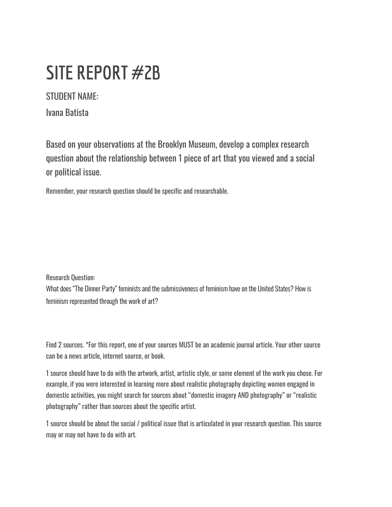# **SITE REPORT #2B**

# STUDENT NAME:

Ivana Batista

Based on your observations at the Brooklyn Museum, develop a complex research question about the relationship between 1 piece of art that you viewed and a social or political issue.

Remember, your research question should be specific and researchable.

Research Question:

What does "The Dinner Party" feminists and the submissiveness of feminism have on the United States? How is feminism represented through the work of art?

Find 2 sources. \*For this report, one of your sources MUST be an academic journal article. Your other source can be a news article, internet source, or book.

1 source should have to do with the artwork, artist, artistic style, or some element of the work you chose. For example, if you were interested in learning more about realistic photography depicting women engaged in domestic activities, you might search for sources about "domestic imagery AND photography" or "realistic photography" rather than sources about the specific artist.

1 source should be about the social / political issue that is articulated in your research question. This source may or may not have to do with art.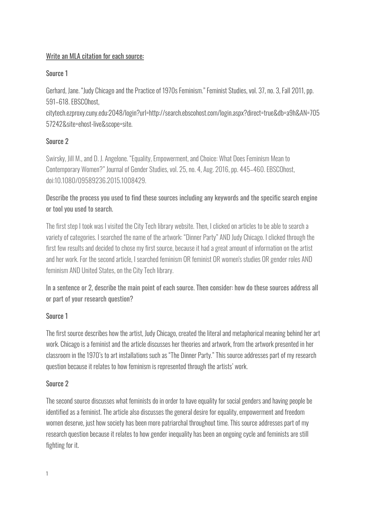#### Write an MLA citation for each source:

#### Source 1

Gerhard, Jane. "Judy Chicago and the Practice of 1970s Feminism." Feminist Studies, vol. 37, no. 3, Fall 2011, pp. 591–618. EBSCOhost,

citytech.ezproxy.cuny.edu:2048/login?url=http://search.ebscohost.com/login.aspx?direct=true&db=a9h&AN=705 57242&site=ehost-live&scope=site.

#### Source 2

Swirsky, Jill M., and D. J. Angelone. "Equality, Empowerment, and Choice: What Does Feminism Mean to Contemporary Women?" Journal of Gender Studies, vol. 25, no. 4, Aug. 2016, pp. 445–460. EBSCOhost, doi:10.1080/09589236.2015.1008429.

Describe the process you used to find these sources including any keywords and the specific search engine or tool you used to search.

The first step I took was I visited the City Tech library website. Then, I clicked on articles to be able to search a variety of categories. I searched the name of the artwork: "Dinner Party" AND Judy Chicago. I clicked through the first few results and decided to chose my first source, because it had a great amount of information on the artist and her work. For the second article, I searched feminism OR feminist OR women's studies OR gender roles AND feminism AND United States, on the City Tech library.

In a sentence or 2, describe the main point of each source. Then consider: how do these sources address all or part of your research question?

# Source 1

The first source describes how the artist, Judy Chicago, created the literal and metaphorical meaning behind her art work. Chicago is a feminist and the article discusses her theories and artwork, from the artwork presented in her classroom in the 1970's to art installations such as "The Dinner Party." This source addresses part of my research question because it relates to how feminism is represented through the artists' work.

#### Source 2

The second source discusses what feminists do in order to have equality for social genders and having people be identified as a feminist. The article also discusses the general desire for equality, empowerment and freedom women deserve, just how society has been more patriarchal throughout time. This source addresses part of my research question because it relates to how gender inequality has been an ongoing cycle and feminists are still fighting for it.